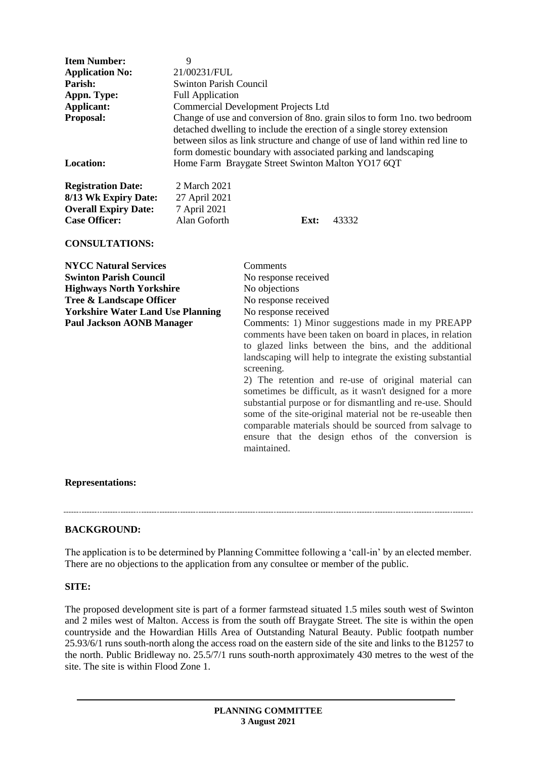| <b>Item Number:</b><br><b>Application No:</b><br>Parish:<br>Appn. Type:<br>Applicant:<br>Proposal:<br><b>Location:</b>                                                                                       | 9<br>21/00231/FUL<br><b>Swinton Parish Council</b><br><b>Full Application</b><br><b>Commercial Development Projects Ltd</b><br>Change of use and conversion of 8no. grain silos to form 1no. two bedroom<br>detached dwelling to include the erection of a single storey extension<br>between silos as link structure and change of use of land within red line to<br>form domestic boundary with associated parking and landscaping<br>Home Farm Braygate Street Swinton Malton YO17 6QT |                                                                                                                                                                                                                                                                                                                                                                                                                                                                                                                                                                                                                                                                                                                                    |      |       |
|--------------------------------------------------------------------------------------------------------------------------------------------------------------------------------------------------------------|-------------------------------------------------------------------------------------------------------------------------------------------------------------------------------------------------------------------------------------------------------------------------------------------------------------------------------------------------------------------------------------------------------------------------------------------------------------------------------------------|------------------------------------------------------------------------------------------------------------------------------------------------------------------------------------------------------------------------------------------------------------------------------------------------------------------------------------------------------------------------------------------------------------------------------------------------------------------------------------------------------------------------------------------------------------------------------------------------------------------------------------------------------------------------------------------------------------------------------------|------|-------|
| <b>Registration Date:</b><br>8/13 Wk Expiry Date:<br><b>Overall Expiry Date:</b><br><b>Case Officer:</b><br><b>CONSULTATIONS:</b>                                                                            | 2 March 2021<br>27 April 2021<br>7 April 2021<br>Alan Goforth                                                                                                                                                                                                                                                                                                                                                                                                                             |                                                                                                                                                                                                                                                                                                                                                                                                                                                                                                                                                                                                                                                                                                                                    | Ext: | 43332 |
| <b>NYCC Natural Services</b><br><b>Swinton Parish Council</b><br><b>Highways North Yorkshire</b><br>Tree & Landscape Officer<br><b>Yorkshire Water Land Use Planning</b><br><b>Paul Jackson AONB Manager</b> |                                                                                                                                                                                                                                                                                                                                                                                                                                                                                           | Comments<br>No response received<br>No objections<br>No response received<br>No response received<br>Comments: 1) Minor suggestions made in my PREAPP<br>comments have been taken on board in places, in relation<br>to glazed links between the bins, and the additional<br>landscaping will help to integrate the existing substantial<br>screening.<br>2) The retention and re-use of original material can<br>sometimes be difficult, as it wasn't designed for a more<br>substantial purpose or for dismantling and re-use. Should<br>some of the site-original material not be re-useable then<br>comparable materials should be sourced from salvage to<br>ensure that the design ethos of the conversion is<br>maintained. |      |       |

### **Representations:**

#### **BACKGROUND:**

The application is to be determined by Planning Committee following a 'call-in' by an elected member. There are no objections to the application from any consultee or member of the public.

#### **SITE:**

The proposed development site is part of a former farmstead situated 1.5 miles south west of Swinton and 2 miles west of Malton. Access is from the south off Braygate Street. The site is within the open countryside and the Howardian Hills Area of Outstanding Natural Beauty. Public footpath number 25.93/6/1 runs south-north along the access road on the eastern side of the site and links to the B1257 to the north. Public Bridleway no. 25.5/7/1 runs south-north approximately 430 metres to the west of the site. The site is within Flood Zone 1.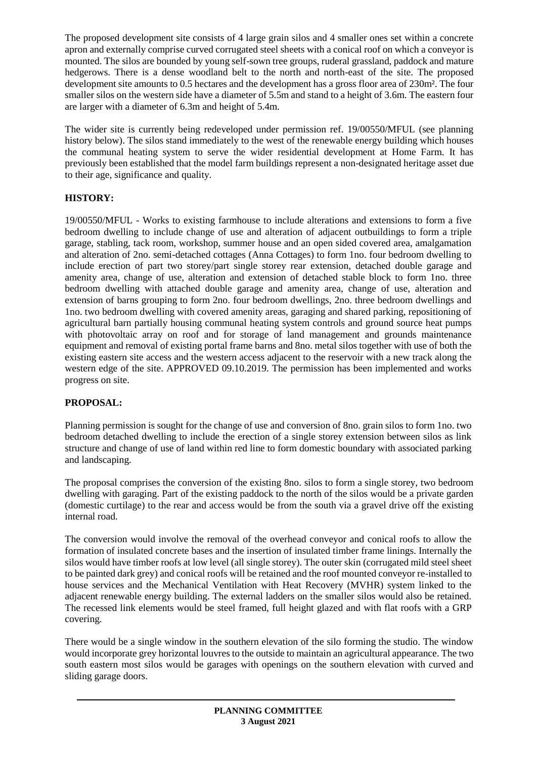The proposed development site consists of 4 large grain silos and 4 smaller ones set within a concrete apron and externally comprise curved corrugated steel sheets with a conical roof on which a conveyor is mounted. The silos are bounded by young self-sown tree groups, ruderal grassland, paddock and mature hedgerows. There is a dense woodland belt to the north and north-east of the site. The proposed development site amounts to 0.5 hectares and the development has a gross floor area of 230m². The four smaller silos on the western side have a diameter of 5.5m and stand to a height of 3.6m. The eastern four are larger with a diameter of 6.3m and height of 5.4m.

The wider site is currently being redeveloped under permission ref. 19/00550/MFUL (see planning history below). The silos stand immediately to the west of the renewable energy building which houses the communal heating system to serve the wider residential development at Home Farm. It has previously been established that the model farm buildings represent a non-designated heritage asset due to their age, significance and quality.

# **HISTORY:**

19/00550/MFUL - Works to existing farmhouse to include alterations and extensions to form a five bedroom dwelling to include change of use and alteration of adjacent outbuildings to form a triple garage, stabling, tack room, workshop, summer house and an open sided covered area, amalgamation and alteration of 2no. semi-detached cottages (Anna Cottages) to form 1no. four bedroom dwelling to include erection of part two storey/part single storey rear extension, detached double garage and amenity area, change of use, alteration and extension of detached stable block to form 1no. three bedroom dwelling with attached double garage and amenity area, change of use, alteration and extension of barns grouping to form 2no. four bedroom dwellings, 2no. three bedroom dwellings and 1no. two bedroom dwelling with covered amenity areas, garaging and shared parking, repositioning of agricultural barn partially housing communal heating system controls and ground source heat pumps with photovoltaic array on roof and for storage of land management and grounds maintenance equipment and removal of existing portal frame barns and 8no. metal silos together with use of both the existing eastern site access and the western access adjacent to the reservoir with a new track along the western edge of the site. APPROVED 09.10.2019. The permission has been implemented and works progress on site.

## **PROPOSAL:**

Planning permission is sought for the change of use and conversion of 8no. grain silos to form 1no. two bedroom detached dwelling to include the erection of a single storey extension between silos as link structure and change of use of land within red line to form domestic boundary with associated parking and landscaping.

The proposal comprises the conversion of the existing 8no. silos to form a single storey, two bedroom dwelling with garaging. Part of the existing paddock to the north of the silos would be a private garden (domestic curtilage) to the rear and access would be from the south via a gravel drive off the existing internal road.

The conversion would involve the removal of the overhead conveyor and conical roofs to allow the formation of insulated concrete bases and the insertion of insulated timber frame linings. Internally the silos would have timber roofs at low level (all single storey). The outer skin (corrugated mild steel sheet to be painted dark grey) and conical roofs will be retained and the roof mounted conveyor re-installed to house services and the Mechanical Ventilation with Heat Recovery (MVHR) system linked to the adjacent renewable energy building. The external ladders on the smaller silos would also be retained. The recessed link elements would be steel framed, full height glazed and with flat roofs with a GRP covering.

There would be a single window in the southern elevation of the silo forming the studio. The window would incorporate grey horizontal louvres to the outside to maintain an agricultural appearance. The two south eastern most silos would be garages with openings on the southern elevation with curved and sliding garage doors.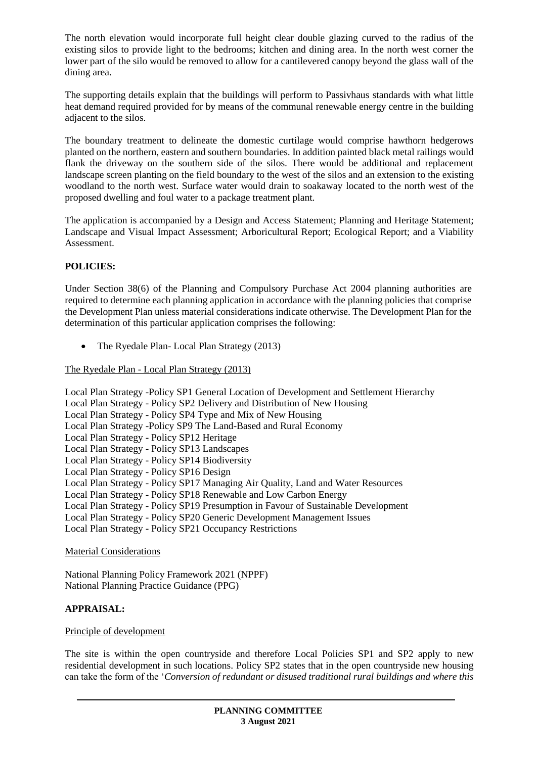The north elevation would incorporate full height clear double glazing curved to the radius of the existing silos to provide light to the bedrooms; kitchen and dining area. In the north west corner the lower part of the silo would be removed to allow for a cantilevered canopy beyond the glass wall of the dining area.

The supporting details explain that the buildings will perform to Passivhaus standards with what little heat demand required provided for by means of the communal renewable energy centre in the building adjacent to the silos.

The boundary treatment to delineate the domestic curtilage would comprise hawthorn hedgerows planted on the northern, eastern and southern boundaries. In addition painted black metal railings would flank the driveway on the southern side of the silos. There would be additional and replacement landscape screen planting on the field boundary to the west of the silos and an extension to the existing woodland to the north west. Surface water would drain to soakaway located to the north west of the proposed dwelling and foul water to a package treatment plant.

The application is accompanied by a Design and Access Statement; Planning and Heritage Statement; Landscape and Visual Impact Assessment; Arboricultural Report; Ecological Report; and a Viability Assessment.

## **POLICIES:**

Under Section 38(6) of the Planning and Compulsory Purchase Act 2004 planning authorities are required to determine each planning application in accordance with the planning policies that comprise the Development Plan unless material considerations indicate otherwise. The Development Plan for the determination of this particular application comprises the following:

• The Ryedale Plan- Local Plan Strategy (2013)

The Ryedale Plan - Local Plan Strategy (2013)

Local Plan Strategy -Policy SP1 General Location of Development and Settlement Hierarchy Local Plan Strategy - Policy SP2 Delivery and Distribution of New Housing Local Plan Strategy - Policy SP4 Type and Mix of New Housing Local Plan Strategy -Policy SP9 The Land-Based and Rural Economy Local Plan Strategy - Policy SP12 Heritage Local Plan Strategy - Policy SP13 Landscapes Local Plan Strategy - Policy SP14 Biodiversity Local Plan Strategy - Policy SP16 Design Local Plan Strategy - Policy SP17 Managing Air Quality, Land and Water Resources Local Plan Strategy - Policy SP18 Renewable and Low Carbon Energy Local Plan Strategy - Policy SP19 Presumption in Favour of Sustainable Development Local Plan Strategy - Policy SP20 Generic Development Management Issues Local Plan Strategy - Policy SP21 Occupancy Restrictions

Material Considerations

National Planning Policy Framework 2021 (NPPF) National Planning Practice Guidance (PPG)

#### **APPRAISAL:**

#### Principle of development

The site is within the open countryside and therefore Local Policies SP1 and SP2 apply to new residential development in such locations. Policy SP2 states that in the open countryside new housing can take the form of the '*Conversion of redundant or disused traditional rural buildings and where this*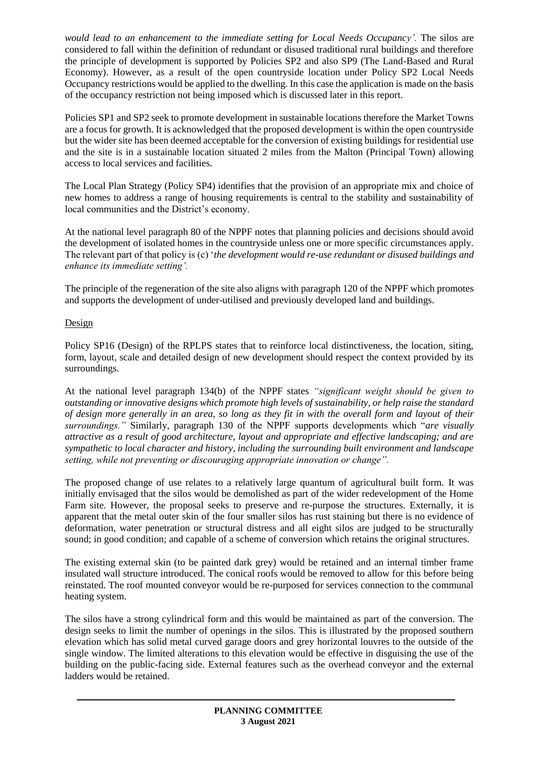*would lead to an enhancement to the immediate setting for Local Needs Occupancy'.* The silos are considered to fall within the definition of redundant or disused traditional rural buildings and therefore the principle of development is supported by Policies SP2 and also SP9 (The Land-Based and Rural Economy). However, as a result of the open countryside location under Policy SP2 Local Needs Occupancy restrictions would be applied to the dwelling. In this case the application is made on the basis of the occupancy restriction not being imposed which is discussed later in this report.

Policies SP1 and SP2 seek to promote development in sustainable locations therefore the Market Towns are a focus for growth. It is acknowledged that the proposed development is within the open countryside but the wider site has been deemed acceptable for the conversion of existing buildings for residential use and the site is in a sustainable location situated 2 miles from the Malton (Principal Town) allowing access to local services and facilities.

The Local Plan Strategy (Policy SP4) identifies that the provision of an appropriate mix and choice of new homes to address a range of housing requirements is central to the stability and sustainability of local communities and the District's economy.

At the national level paragraph 80 of the NPPF notes that planning policies and decisions should avoid the development of isolated homes in the countryside unless one or more specific circumstances apply. The relevant part of that policy is (c) '*the development would re-use redundant or disused buildings and enhance its immediate setting'.*

The principle of the regeneration of the site also aligns with paragraph 120 of the NPPF which promotes and supports the development of under-utilised and previously developed land and buildings.

#### Design

Policy SP16 (Design) of the RPLPS states that to reinforce local distinctiveness, the location, siting, form, layout, scale and detailed design of new development should respect the context provided by its surroundings.

At the national level paragraph 134(b) of the NPPF states *"significant weight should be given to outstanding or innovative designs which promote high levels of sustainability, or help raise the standard of design more generally in an area, so long as they fit in with the overall form and layout of their surroundings."* Similarly, paragraph 130 of the NPPF supports developments which "*are visually attractive as a result of good architecture, layout and appropriate and effective landscaping; and are sympathetic to local character and history, including the surrounding built environment and landscape setting, while not preventing or discouraging appropriate innovation or change".* 

The proposed change of use relates to a relatively large quantum of agricultural built form. It was initially envisaged that the silos would be demolished as part of the wider redevelopment of the Home Farm site. However, the proposal seeks to preserve and re-purpose the structures. Externally, it is apparent that the metal outer skin of the four smaller silos has rust staining but there is no evidence of deformation, water penetration or structural distress and all eight silos are judged to be structurally sound; in good condition; and capable of a scheme of conversion which retains the original structures.

The existing external skin (to be painted dark grey) would be retained and an internal timber frame insulated wall structure introduced. The conical roofs would be removed to allow for this before being reinstated. The roof mounted conveyor would be re-purposed for services connection to the communal heating system.

The silos have a strong cylindrical form and this would be maintained as part of the conversion. The design seeks to limit the number of openings in the silos. This is illustrated by the proposed southern elevation which has solid metal curved garage doors and grey horizontal louvres to the outside of the single window. The limited alterations to this elevation would be effective in disguising the use of the building on the public-facing side. External features such as the overhead conveyor and the external ladders would be retained.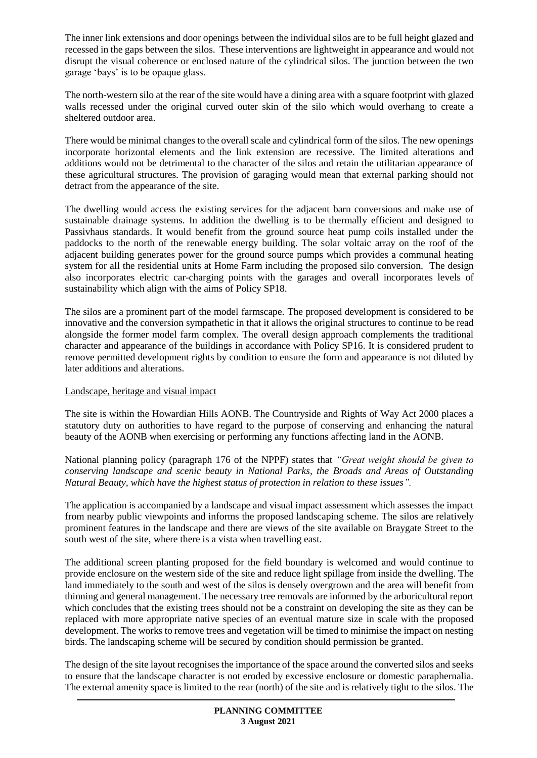The inner link extensions and door openings between the individual silos are to be full height glazed and recessed in the gaps between the silos. These interventions are lightweight in appearance and would not disrupt the visual coherence or enclosed nature of the cylindrical silos. The junction between the two garage 'bays' is to be opaque glass.

The north-western silo at the rear of the site would have a dining area with a square footprint with glazed walls recessed under the original curved outer skin of the silo which would overhang to create a sheltered outdoor area.

There would be minimal changes to the overall scale and cylindrical form of the silos. The new openings incorporate horizontal elements and the link extension are recessive. The limited alterations and additions would not be detrimental to the character of the silos and retain the utilitarian appearance of these agricultural structures. The provision of garaging would mean that external parking should not detract from the appearance of the site.

The dwelling would access the existing services for the adjacent barn conversions and make use of sustainable drainage systems. In addition the dwelling is to be thermally efficient and designed to Passivhaus standards. It would benefit from the ground source heat pump coils installed under the paddocks to the north of the renewable energy building. The solar voltaic array on the roof of the adjacent building generates power for the ground source pumps which provides a communal heating system for all the residential units at Home Farm including the proposed silo conversion. The design also incorporates electric car-charging points with the garages and overall incorporates levels of sustainability which align with the aims of Policy SP18.

The silos are a prominent part of the model farmscape. The proposed development is considered to be innovative and the conversion sympathetic in that it allows the original structures to continue to be read alongside the former model farm complex. The overall design approach complements the traditional character and appearance of the buildings in accordance with Policy SP16. It is considered prudent to remove permitted development rights by condition to ensure the form and appearance is not diluted by later additions and alterations.

#### Landscape, heritage and visual impact

The site is within the Howardian Hills AONB. The Countryside and Rights of Way Act 2000 places a statutory duty on authorities to have regard to the purpose of conserving and enhancing the natural beauty of the AONB when exercising or performing any functions affecting land in the AONB.

National planning policy (paragraph 176 of the NPPF) states that *"Great weight should be given to conserving landscape and scenic beauty in National Parks, the Broads and Areas of Outstanding Natural Beauty, which have the highest status of protection in relation to these issues".*

The application is accompanied by a landscape and visual impact assessment which assesses the impact from nearby public viewpoints and informs the proposed landscaping scheme. The silos are relatively prominent features in the landscape and there are views of the site available on Braygate Street to the south west of the site, where there is a vista when travelling east.

The additional screen planting proposed for the field boundary is welcomed and would continue to provide enclosure on the western side of the site and reduce light spillage from inside the dwelling. The land immediately to the south and west of the silos is densely overgrown and the area will benefit from thinning and general management. The necessary tree removals are informed by the arboricultural report which concludes that the existing trees should not be a constraint on developing the site as they can be replaced with more appropriate native species of an eventual mature size in scale with the proposed development. The works to remove trees and vegetation will be timed to minimise the impact on nesting birds. The landscaping scheme will be secured by condition should permission be granted.

The design of the site layout recognises the importance of the space around the converted silos and seeks to ensure that the landscape character is not eroded by excessive enclosure or domestic paraphernalia. The external amenity space is limited to the rear (north) of the site and is relatively tight to the silos. The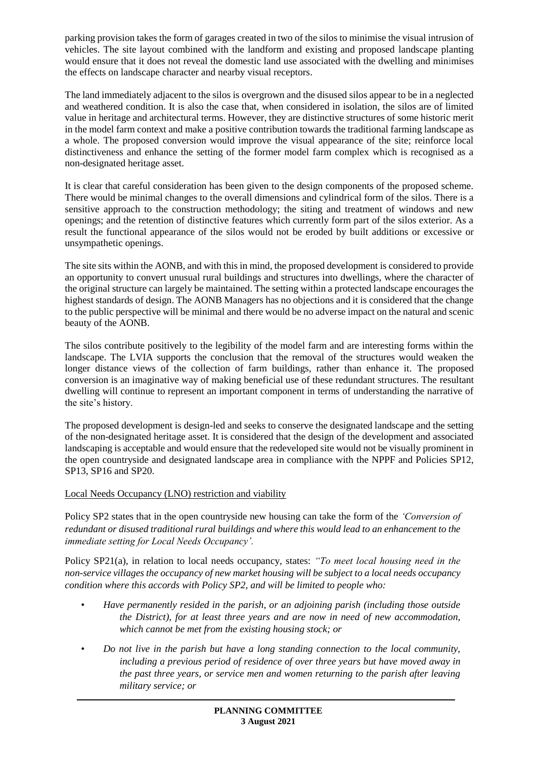parking provision takes the form of garages created in two of the silos to minimise the visual intrusion of vehicles. The site layout combined with the landform and existing and proposed landscape planting would ensure that it does not reveal the domestic land use associated with the dwelling and minimises the effects on landscape character and nearby visual receptors.

The land immediately adjacent to the silos is overgrown and the disused silos appear to be in a neglected and weathered condition. It is also the case that, when considered in isolation, the silos are of limited value in heritage and architectural terms. However, they are distinctive structures of some historic merit in the model farm context and make a positive contribution towards the traditional farming landscape as a whole. The proposed conversion would improve the visual appearance of the site; reinforce local distinctiveness and enhance the setting of the former model farm complex which is recognised as a non-designated heritage asset.

It is clear that careful consideration has been given to the design components of the proposed scheme. There would be minimal changes to the overall dimensions and cylindrical form of the silos. There is a sensitive approach to the construction methodology; the siting and treatment of windows and new openings; and the retention of distinctive features which currently form part of the silos exterior. As a result the functional appearance of the silos would not be eroded by built additions or excessive or unsympathetic openings.

The site sits within the AONB, and with this in mind, the proposed development is considered to provide an opportunity to convert unusual rural buildings and structures into dwellings, where the character of the original structure can largely be maintained. The setting within a protected landscape encourages the highest standards of design. The AONB Managers has no objections and it is considered that the change to the public perspective will be minimal and there would be no adverse impact on the natural and scenic beauty of the AONB.

The silos contribute positively to the legibility of the model farm and are interesting forms within the landscape. The LVIA supports the conclusion that the removal of the structures would weaken the longer distance views of the collection of farm buildings, rather than enhance it. The proposed conversion is an imaginative way of making beneficial use of these redundant structures. The resultant dwelling will continue to represent an important component in terms of understanding the narrative of the site's history.

The proposed development is design-led and seeks to conserve the designated landscape and the setting of the non-designated heritage asset. It is considered that the design of the development and associated landscaping is acceptable and would ensure that the redeveloped site would not be visually prominent in the open countryside and designated landscape area in compliance with the NPPF and Policies SP12, SP13, SP16 and SP20.

## Local Needs Occupancy (LNO) restriction and viability

Policy SP2 states that in the open countryside new housing can take the form of the *'Conversion of redundant or disused traditional rural buildings and where this would lead to an enhancement to the immediate setting for Local Needs Occupancy'.* 

Policy SP21(a), in relation to local needs occupancy, states: *"To meet local housing need in the non-service villages the occupancy of new market housing will be subject to a local needs occupancy condition where this accords with Policy SP2, and will be limited to people who:* 

- *Have permanently resided in the parish, or an adjoining parish (including those outside the District), for at least three years and are now in need of new accommodation, which cannot be met from the existing housing stock; or*
- *Do not live in the parish but have a long standing connection to the local community, including a previous period of residence of over three years but have moved away in the past three years, or service men and women returning to the parish after leaving military service; or*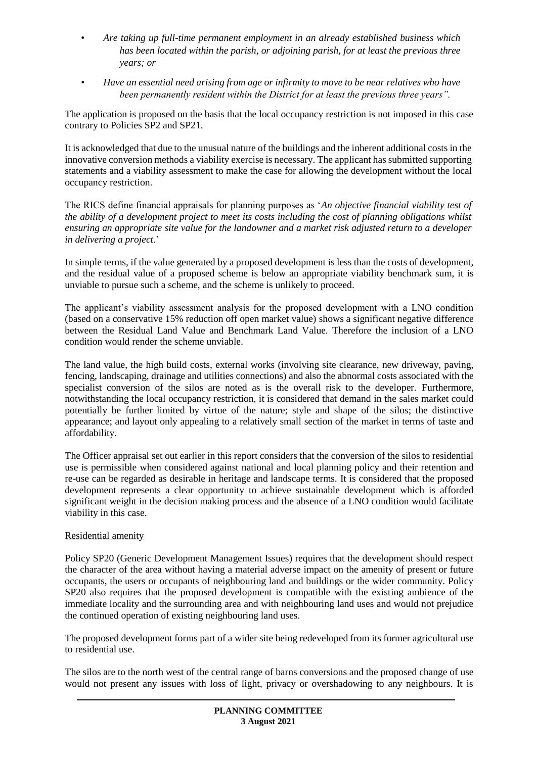- *Are taking up full-time permanent employment in an already established business which has been located within the parish, or adjoining parish, for at least the previous three years; or*
- *Have an essential need arising from age or infirmity to move to be near relatives who have been permanently resident within the District for at least the previous three years".*

The application is proposed on the basis that the local occupancy restriction is not imposed in this case contrary to Policies SP2 and SP21.

It is acknowledged that due to the unusual nature of the buildings and the inherent additional costs in the innovative conversion methods a viability exercise is necessary. The applicant has submitted supporting statements and a viability assessment to make the case for allowing the development without the local occupancy restriction.

The RICS define financial appraisals for planning purposes as '*An objective financial viability test of the ability of a development project to meet its costs including the cost of planning obligations whilst ensuring an appropriate site value for the landowner and a market risk adjusted return to a developer in delivering a project*.'

In simple terms, if the value generated by a proposed development is less than the costs of development, and the residual value of a proposed scheme is below an appropriate viability benchmark sum, it is unviable to pursue such a scheme, and the scheme is unlikely to proceed.

The applicant's viability assessment analysis for the proposed development with a LNO condition (based on a conservative 15% reduction off open market value) shows a significant negative difference between the Residual Land Value and Benchmark Land Value. Therefore the inclusion of a LNO condition would render the scheme unviable.

The land value, the high build costs, external works (involving site clearance, new driveway, paving, fencing, landscaping, drainage and utilities connections) and also the abnormal costs associated with the specialist conversion of the silos are noted as is the overall risk to the developer. Furthermore, notwithstanding the local occupancy restriction, it is considered that demand in the sales market could potentially be further limited by virtue of the nature; style and shape of the silos; the distinctive appearance; and layout only appealing to a relatively small section of the market in terms of taste and affordability.

The Officer appraisal set out earlier in this report considers that the conversion of the silos to residential use is permissible when considered against national and local planning policy and their retention and re-use can be regarded as desirable in heritage and landscape terms. It is considered that the proposed development represents a clear opportunity to achieve sustainable development which is afforded significant weight in the decision making process and the absence of a LNO condition would facilitate viability in this case.

#### Residential amenity

Policy SP20 (Generic Development Management Issues) requires that the development should respect the character of the area without having a material adverse impact on the amenity of present or future occupants, the users or occupants of neighbouring land and buildings or the wider community. Policy SP20 also requires that the proposed development is compatible with the existing ambience of the immediate locality and the surrounding area and with neighbouring land uses and would not prejudice the continued operation of existing neighbouring land uses.

The proposed development forms part of a wider site being redeveloped from its former agricultural use to residential use.

The silos are to the north west of the central range of barns conversions and the proposed change of use would not present any issues with loss of light, privacy or overshadowing to any neighbours. It is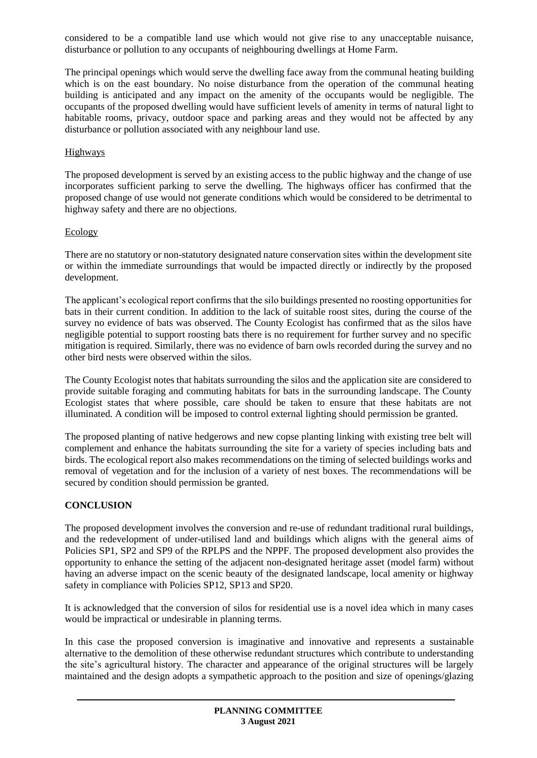considered to be a compatible land use which would not give rise to any unacceptable nuisance, disturbance or pollution to any occupants of neighbouring dwellings at Home Farm.

The principal openings which would serve the dwelling face away from the communal heating building which is on the east boundary. No noise disturbance from the operation of the communal heating building is anticipated and any impact on the amenity of the occupants would be negligible. The occupants of the proposed dwelling would have sufficient levels of amenity in terms of natural light to habitable rooms, privacy, outdoor space and parking areas and they would not be affected by any disturbance or pollution associated with any neighbour land use.

### Highways

The proposed development is served by an existing access to the public highway and the change of use incorporates sufficient parking to serve the dwelling. The highways officer has confirmed that the proposed change of use would not generate conditions which would be considered to be detrimental to highway safety and there are no objections.

## Ecology

There are no statutory or non-statutory designated nature conservation sites within the development site or within the immediate surroundings that would be impacted directly or indirectly by the proposed development.

The applicant's ecological report confirms that the silo buildings presented no roosting opportunities for bats in their current condition. In addition to the lack of suitable roost sites, during the course of the survey no evidence of bats was observed. The County Ecologist has confirmed that as the silos have negligible potential to support roosting bats there is no requirement for further survey and no specific mitigation is required. Similarly, there was no evidence of barn owls recorded during the survey and no other bird nests were observed within the silos.

The County Ecologist notes that habitats surrounding the silos and the application site are considered to provide suitable foraging and commuting habitats for bats in the surrounding landscape. The County Ecologist states that where possible, care should be taken to ensure that these habitats are not illuminated. A condition will be imposed to control external lighting should permission be granted.

The proposed planting of native hedgerows and new copse planting linking with existing tree belt will complement and enhance the habitats surrounding the site for a variety of species including bats and birds. The ecological report also makes recommendations on the timing of selected buildings works and removal of vegetation and for the inclusion of a variety of nest boxes. The recommendations will be secured by condition should permission be granted.

## **CONCLUSION**

The proposed development involves the conversion and re-use of redundant traditional rural buildings, and the redevelopment of under-utilised land and buildings which aligns with the general aims of Policies SP1, SP2 and SP9 of the RPLPS and the NPPF. The proposed development also provides the opportunity to enhance the setting of the adjacent non-designated heritage asset (model farm) without having an adverse impact on the scenic beauty of the designated landscape, local amenity or highway safety in compliance with Policies SP12, SP13 and SP20.

It is acknowledged that the conversion of silos for residential use is a novel idea which in many cases would be impractical or undesirable in planning terms.

In this case the proposed conversion is imaginative and innovative and represents a sustainable alternative to the demolition of these otherwise redundant structures which contribute to understanding the site's agricultural history. The character and appearance of the original structures will be largely maintained and the design adopts a sympathetic approach to the position and size of openings/glazing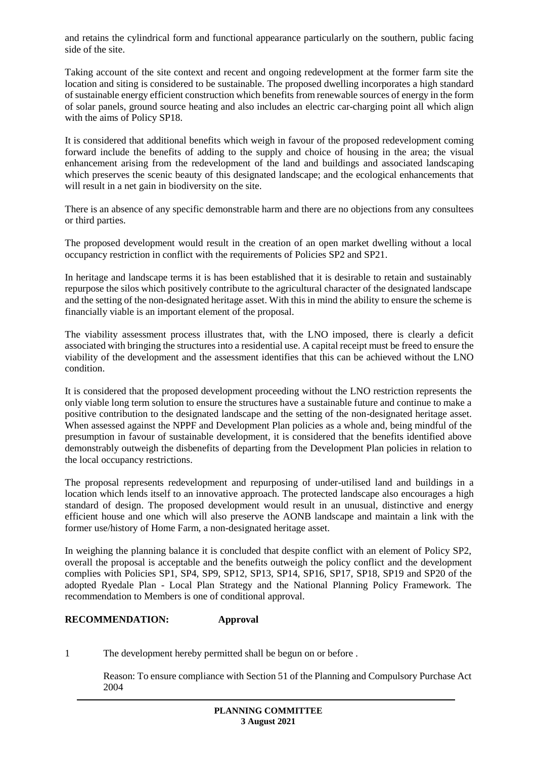and retains the cylindrical form and functional appearance particularly on the southern, public facing side of the site.

Taking account of the site context and recent and ongoing redevelopment at the former farm site the location and siting is considered to be sustainable. The proposed dwelling incorporates a high standard of sustainable energy efficient construction which benefits from renewable sources of energy in the form of solar panels, ground source heating and also includes an electric car-charging point all which align with the aims of Policy SP18.

It is considered that additional benefits which weigh in favour of the proposed redevelopment coming forward include the benefits of adding to the supply and choice of housing in the area; the visual enhancement arising from the redevelopment of the land and buildings and associated landscaping which preserves the scenic beauty of this designated landscape; and the ecological enhancements that will result in a net gain in biodiversity on the site.

There is an absence of any specific demonstrable harm and there are no objections from any consultees or third parties.

The proposed development would result in the creation of an open market dwelling without a local occupancy restriction in conflict with the requirements of Policies SP2 and SP21.

In heritage and landscape terms it is has been established that it is desirable to retain and sustainably repurpose the silos which positively contribute to the agricultural character of the designated landscape and the setting of the non-designated heritage asset. With this in mind the ability to ensure the scheme is financially viable is an important element of the proposal.

The viability assessment process illustrates that, with the LNO imposed, there is clearly a deficit associated with bringing the structures into a residential use. A capital receipt must be freed to ensure the viability of the development and the assessment identifies that this can be achieved without the LNO condition.

It is considered that the proposed development proceeding without the LNO restriction represents the only viable long term solution to ensure the structures have a sustainable future and continue to make a positive contribution to the designated landscape and the setting of the non-designated heritage asset. When assessed against the NPPF and Development Plan policies as a whole and, being mindful of the presumption in favour of sustainable development, it is considered that the benefits identified above demonstrably outweigh the disbenefits of departing from the Development Plan policies in relation to the local occupancy restrictions.

The proposal represents redevelopment and repurposing of under-utilised land and buildings in a location which lends itself to an innovative approach. The protected landscape also encourages a high standard of design. The proposed development would result in an unusual, distinctive and energy efficient house and one which will also preserve the AONB landscape and maintain a link with the former use/history of Home Farm, a non-designated heritage asset.

In weighing the planning balance it is concluded that despite conflict with an element of Policy SP2, overall the proposal is acceptable and the benefits outweigh the policy conflict and the development complies with Policies SP1, SP4, SP9, SP12, SP13, SP14, SP16, SP17, SP18, SP19 and SP20 of the adopted Ryedale Plan - Local Plan Strategy and the National Planning Policy Framework. The recommendation to Members is one of conditional approval.

#### **RECOMMENDATION: Approval**

1 The development hereby permitted shall be begun on or before .

Reason: To ensure compliance with Section 51 of the Planning and Compulsory Purchase Act 2004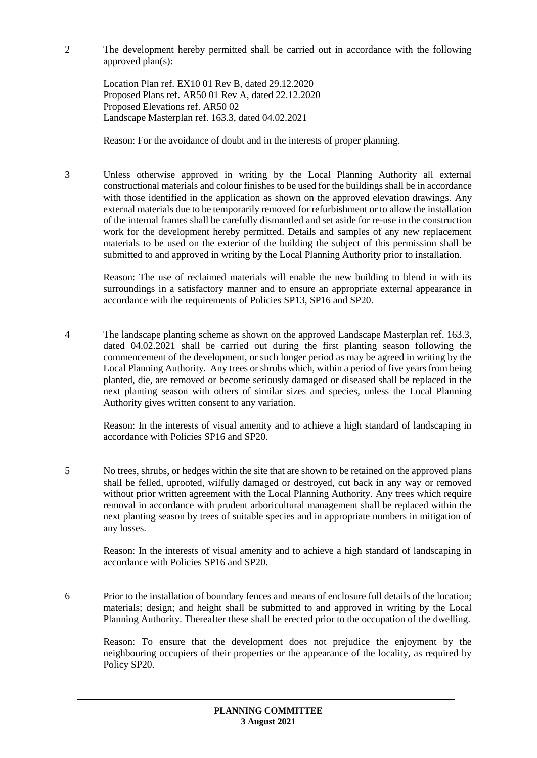2 The development hereby permitted shall be carried out in accordance with the following approved plan(s):

Location Plan ref. EX10 01 Rev B, dated 29.12.2020 Proposed Plans ref. AR50 01 Rev A, dated 22.12.2020 Proposed Elevations ref. AR50 02 Landscape Masterplan ref. 163.3, dated 04.02.2021

Reason: For the avoidance of doubt and in the interests of proper planning.

3 Unless otherwise approved in writing by the Local Planning Authority all external constructional materials and colour finishes to be used for the buildings shall be in accordance with those identified in the application as shown on the approved elevation drawings. Any external materials due to be temporarily removed for refurbishment or to allow the installation of the internal frames shall be carefully dismantled and set aside for re-use in the construction work for the development hereby permitted. Details and samples of any new replacement materials to be used on the exterior of the building the subject of this permission shall be submitted to and approved in writing by the Local Planning Authority prior to installation.

Reason: The use of reclaimed materials will enable the new building to blend in with its surroundings in a satisfactory manner and to ensure an appropriate external appearance in accordance with the requirements of Policies SP13, SP16 and SP20.

4 The landscape planting scheme as shown on the approved Landscape Masterplan ref. 163.3, dated 04.02.2021 shall be carried out during the first planting season following the commencement of the development, or such longer period as may be agreed in writing by the Local Planning Authority. Any trees or shrubs which, within a period of five years from being planted, die, are removed or become seriously damaged or diseased shall be replaced in the next planting season with others of similar sizes and species, unless the Local Planning Authority gives written consent to any variation.

Reason: In the interests of visual amenity and to achieve a high standard of landscaping in accordance with Policies SP16 and SP20.

5 No trees, shrubs, or hedges within the site that are shown to be retained on the approved plans shall be felled, uprooted, wilfully damaged or destroyed, cut back in any way or removed without prior written agreement with the Local Planning Authority. Any trees which require removal in accordance with prudent arboricultural management shall be replaced within the next planting season by trees of suitable species and in appropriate numbers in mitigation of any losses.

Reason: In the interests of visual amenity and to achieve a high standard of landscaping in accordance with Policies SP16 and SP20.

6 Prior to the installation of boundary fences and means of enclosure full details of the location; materials; design; and height shall be submitted to and approved in writing by the Local Planning Authority. Thereafter these shall be erected prior to the occupation of the dwelling.

Reason: To ensure that the development does not prejudice the enjoyment by the neighbouring occupiers of their properties or the appearance of the locality, as required by Policy SP20.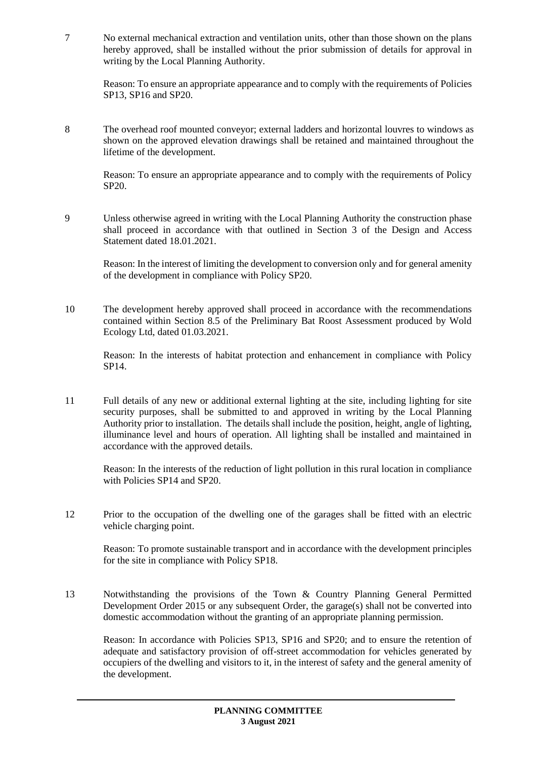7 No external mechanical extraction and ventilation units, other than those shown on the plans hereby approved, shall be installed without the prior submission of details for approval in writing by the Local Planning Authority.

Reason: To ensure an appropriate appearance and to comply with the requirements of Policies SP13, SP16 and SP20.

8 The overhead roof mounted conveyor; external ladders and horizontal louvres to windows as shown on the approved elevation drawings shall be retained and maintained throughout the lifetime of the development.

Reason: To ensure an appropriate appearance and to comply with the requirements of Policy SP20.

9 Unless otherwise agreed in writing with the Local Planning Authority the construction phase shall proceed in accordance with that outlined in Section 3 of the Design and Access Statement dated 18.01.2021.

Reason: In the interest of limiting the development to conversion only and for general amenity of the development in compliance with Policy SP20.

10 The development hereby approved shall proceed in accordance with the recommendations contained within Section 8.5 of the Preliminary Bat Roost Assessment produced by Wold Ecology Ltd, dated 01.03.2021.

Reason: In the interests of habitat protection and enhancement in compliance with Policy SP14.

11 Full details of any new or additional external lighting at the site, including lighting for site security purposes, shall be submitted to and approved in writing by the Local Planning Authority prior to installation. The details shall include the position, height, angle of lighting, illuminance level and hours of operation. All lighting shall be installed and maintained in accordance with the approved details.

Reason: In the interests of the reduction of light pollution in this rural location in compliance with Policies SP14 and SP20.

12 Prior to the occupation of the dwelling one of the garages shall be fitted with an electric vehicle charging point.

Reason: To promote sustainable transport and in accordance with the development principles for the site in compliance with Policy SP18.

13 Notwithstanding the provisions of the Town & Country Planning General Permitted Development Order 2015 or any subsequent Order, the garage(s) shall not be converted into domestic accommodation without the granting of an appropriate planning permission.

Reason: In accordance with Policies SP13, SP16 and SP20; and to ensure the retention of adequate and satisfactory provision of off-street accommodation for vehicles generated by occupiers of the dwelling and visitors to it, in the interest of safety and the general amenity of the development.